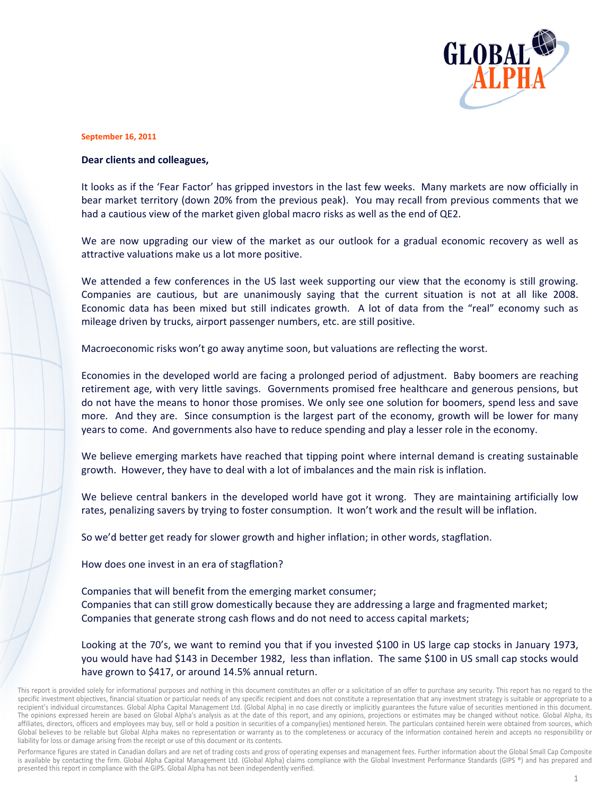

## **September 16, 2011**

## Dear clients and colleagues,

It looks as if the 'Fear Factor' has gripped investors in the last few weeks. Many markets are now officially in bear market territory (down 20% from the previous peak). You may recall from previous comments that we had a cautious view of the market given global macro risks as well as the end of QE2.

We are now upgrading our view of the market as our outlook for a gradual economic recovery as well as attractive valuations make us a lot more positive.

We attended a few conferences in the US last week supporting our view that the economy is still growing. Companies are cautious, but are unanimously saying that the current situation is not at all like 2008. Economic data has been mixed but still indicates growth. A lot of data from the "real" economy such as mileage driven by trucks, airport passenger numbers, etc. are still positive.

Macroeconomic risks won't go away anytime soon, but valuations are reflecting the worst.

Economies in the developed world are facing a prolonged period of adjustment. Baby boomers are reaching retirement age, with very little savings. Governments promised free healthcare and generous pensions, but do not have the means to honor those promises. We only see one solution for boomers, spend less and save more. And they are. Since consumption is the largest part of the economy, growth will be lower for many years to come. And governments also have to reduce spending and play a lesser role in the economy.

We believe emerging markets have reached that tipping point where internal demand is creating sustainable growth. However, they have to deal with a lot of imbalances and the main risk is inflation.

We believe central bankers in the developed world have got it wrong. They are maintaining artificially low rates, penalizing savers by trying to foster consumption. It won't work and the result will be inflation.

So we'd better get ready for slower growth and higher inflation; in other words, stagflation.

How does one invest in an era of stagflation?

Companies that will benefit from the emerging market consumer; Companies that can still grow domestically because they are addressing a large and fragmented market; Companies that generate strong cash flows and do not need to access capital markets;

Looking at the 70's, we want to remind you that if you invested \$100 in US large cap stocks in January 1973, you would have had \$143 in December 1982, less than inflation. The same \$100 in US small cap stocks would have grown to \$417, or around 14.5% annual return.

Performance figures are stated in Canadian dollars and are net of trading costs and gross of operating expenses and management fees. Further information about the Global Small Cap Composite is available by contacting the firm. Global Alpha Capital Management Ltd. (Global Alpha) claims compliance with the Global Investment Performance Standards (GIPS ®) and has prepared and presented this report in compliance with the GIPS. Global Alpha has not been independently verified.

This report is provided solely for informational purposes and nothing in this document constitutes an offer or a solicitation of an offer to purchase any security. This report has no regard to the specific investment objectives, financial situation or particular needs of any specific recipient and does not constitute a representation that any investment strategy is suitable or appropriate to a recipient's individual circumstances. Global Alpha Capital Management Ltd. (Global Alpha) in no case directly or implicitly guarantees the future value of securities mentioned in this document. The opinions expressed herein are based on Global Alpha's analysis as at the date of this report, and any opinions, projections or estimates may be changed without notice. Global Alpha, its affiliates, directors, officers and employees may buy, sell or hold a position in securities of a company(ies) mentioned herein. The particulars contained herein were obtained from sources, which Global believes to be reliable but Global Alpha makes no representation or warranty as to the completeness or accuracy of the information contained herein and accepts no responsibility or liability for loss or damage arising from the receipt or use of this document or its contents.